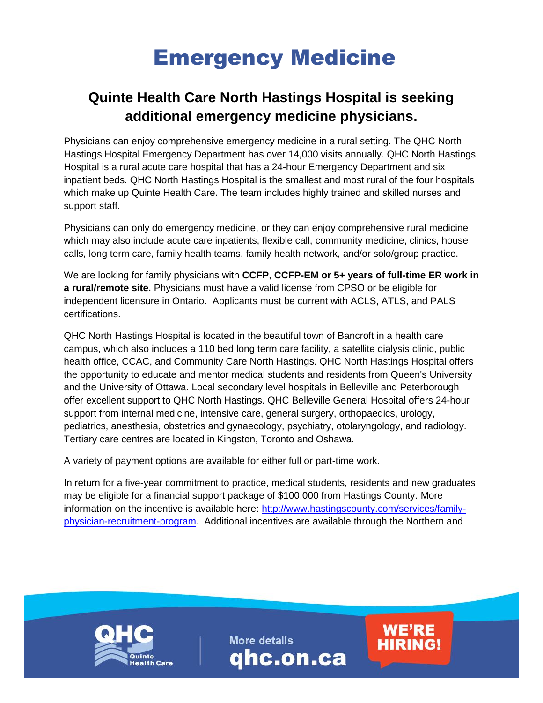## Emergency Medicine

## **Quinte Health Care North Hastings Hospital is seeking additional emergency medicine physicians.**

Physicians can enjoy comprehensive emergency medicine in a rural setting. The QHC North Hastings Hospital Emergency Department has over 14,000 visits annually. QHC North Hastings Hospital is a rural acute care hospital that has a 24-hour Emergency Department and six inpatient beds. QHC North Hastings Hospital is the smallest and most rural of the four hospitals which make up Quinte Health Care. The team includes highly trained and skilled nurses and support staff.

Physicians can only do emergency medicine, or they can enjoy comprehensive rural medicine which may also include acute care inpatients, flexible call, community medicine, clinics, house calls, long term care, family health teams, family health network, and/or solo/group practice.

We are looking for family physicians with **CCFP**, **CCFP-EM or 5+ years of full-time ER work in a rural/remote site.** Physicians must have a valid license from CPSO or be eligible for independent licensure in Ontario. Applicants must be current with ACLS, ATLS, and PALS certifications.

QHC North Hastings Hospital is located in the beautiful town of Bancroft in a health care campus, which also includes a 110 bed long term care facility, a satellite dialysis clinic, public health office, CCAC, and Community Care North Hastings. QHC North Hastings Hospital offers the opportunity to educate and mentor medical students and residents from Queen's University and the University of Ottawa. Local secondary level hospitals in Belleville and Peterborough offer excellent support to QHC North Hastings. QHC Belleville General Hospital offers 24-hour support from internal medicine, intensive care, general surgery, orthopaedics, urology, pediatrics, anesthesia, obstetrics and gynaecology, psychiatry, otolaryngology, and radiology. Tertiary care centres are located in Kingston, Toronto and Oshawa.

A variety of payment options are available for either full or part-time work.

In return for a five-year commitment to practice, medical students, residents and new graduates may be eligible for a financial support package of \$100,000 from Hastings County. More information on the incentive is available here: [http://www.hastingscounty.com/services/family](http://www.hastingscounty.com/services/family-physician-recruitment-program)[physician-recruitment-program.](http://www.hastingscounty.com/services/family-physician-recruitment-program) Additional incentives are available through the Northern and



**More details** qhc.on.ca **WE'RE** 

**HIRING!**